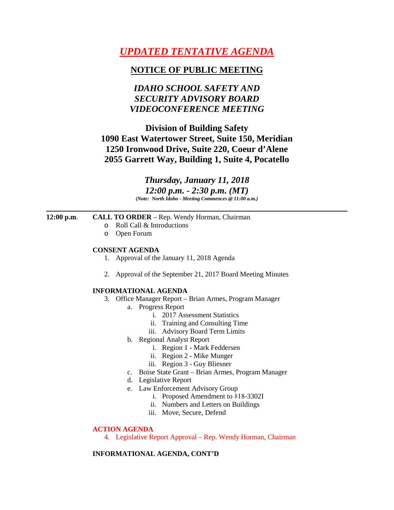# *UPDATED TENTATIVE AGENDA*

### **NOTICE OF PUBLIC MEETING**

## *IDAHO SCHOOL SAFETY AND SECURITY ADVISORY BOARD VIDEOCONFERENCE MEETING*

## **Division of Building Safety 1090 East Watertower Street, Suite 150, Meridian 1250 Ironwood Drive, Suite 220, Coeur d'Alene 2055 Garrett Way, Building 1, Suite 4, Pocatello**

*Thursday, January 11, 2018 12:00 p.m. - 2:30 p.m. (MT) (Note: North Idaho - Meeting Commences @ 11:00 a.m.)*

#### **12:00 p.m**. **CALL TO ORDER** – Rep. Wendy Horman, Chairman

- o Roll Call & Introductions
- o Open Forum

#### **CONSENT AGENDA**

- 1. Approval of the January 11, 2018 Agenda
- 2. Approval of the September 21, 2017 Board Meeting Minutes

#### **INFORMATIONAL AGENDA**

- 3. Office Manager Report Brian Armes, Program Manager
	- a. Progress Report
		- i. 2017 Assessment Statistics
		- ii. Training and Consulting Time
		- iii. Advisory Board Term Limits
	- b. Regional Analyst Report
		- i. Region 1 Mark Feddersen
		- ii. Region 2 Mike Munger
		- iii. Region 3 Guy Bliesner
	- c. Boise State Grant Brian Armes, Program Manager
	- d. Legislative Report
	- e. Law Enforcement Advisory Group
		- i. Proposed Amendment to  $818-3302I$
		- ii. Numbers and Letters on Buildings
		- iii. Move, Secure, Defend

#### **ACTION AGENDA**

4. Legislative Report Approval – Rep. Wendy Horman, Chairman

#### **INFORMATIONAL AGENDA, CONT'D**